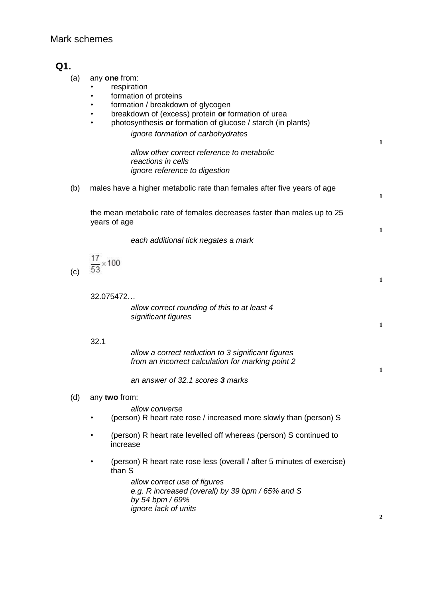## Mark schemes

# **Q1.**

- (a) any **one** from:
	- **respiration** 
		- formation of proteins
	- formation / breakdown of glycogen
	- breakdown of (excess) protein **or** formation of urea
		- photosynthesis **or** formation of glucose / starch (in plants)

*ignore formation of carbohydrates*

*allow other correct reference to metabolic reactions in cells ignore reference to digestion*

(b) males have a higher metabolic rate than females after five years of age **1**

the mean metabolic rate of females decreases faster than males up to 25 years of age

*each additional tick negates a mark*

 $\frac{17}{53}$  × 100

(c)

32.075472…

*allow correct rounding of this to at least 4 significant figures*

32.1

*allow a correct reduction to 3 significant figures from an incorrect calculation for marking point 2*

*an answer of 32.1 scores 3 marks*

## (d) any **two** from:

*allow converse*

- (person) R heart rate rose / increased more slowly than (person) S
- (person) R heart rate levelled off whereas (person) S continued to increase
- (person) R heart rate rose less (overall / after 5 minutes of exercise) than S

*allow correct use of figures e.g. R increased (overall) by 39 bpm / 65% and S by 54 bpm / 69% ignore lack of units*

**1**

**1**

**1**

**1**

**1**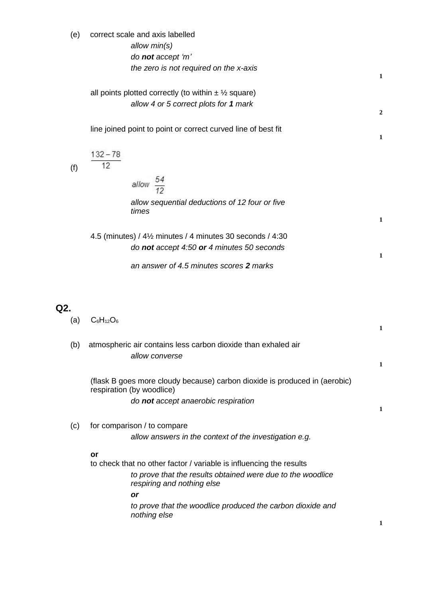| (e) | correct scale and axis labelled<br>allow min(s)<br>do not accept 'm'<br>the zero is not required on the x-axis                                                                                                                                             | $\mathbf{1}$   |
|-----|------------------------------------------------------------------------------------------------------------------------------------------------------------------------------------------------------------------------------------------------------------|----------------|
|     | all points plotted correctly (to within $\pm \frac{1}{2}$ square)<br>allow 4 or 5 correct plots for 1 mark                                                                                                                                                 | $\overline{2}$ |
|     | line joined point to point or correct curved line of best fit                                                                                                                                                                                              | $\mathbf{1}$   |
| (f) | $132 - 78$<br>12                                                                                                                                                                                                                                           |                |
|     | allow $\frac{54}{12}$                                                                                                                                                                                                                                      |                |
|     | allow sequential deductions of 12 four or five<br>times                                                                                                                                                                                                    | $\mathbf{1}$   |
|     | 4.5 (minutes) / 4½ minutes / 4 minutes 30 seconds / 4:30                                                                                                                                                                                                   |                |
|     | do not accept 4:50 or 4 minutes 50 seconds                                                                                                                                                                                                                 | $\mathbf{1}$   |
| Q2. | an answer of 4.5 minutes scores 2 marks                                                                                                                                                                                                                    |                |
| (a) | $C_6H_{12}O_6$                                                                                                                                                                                                                                             | 1              |
| (b) | atmospheric air contains less carbon dioxide than exhaled air<br>allow converse                                                                                                                                                                            | $\mathbf{1}$   |
|     | (flask B goes more cloudy because) carbon dioxide is produced in (aerobic)<br>respiration (by woodlice)<br>do not accept anaerobic respiration                                                                                                             |                |
|     |                                                                                                                                                                                                                                                            | 1              |
| (c) | for comparison / to compare<br>allow answers in the context of the investigation e.g.                                                                                                                                                                      |                |
|     | or<br>to check that no other factor / variable is influencing the results<br>to prove that the results obtained were due to the woodlice<br>respiring and nothing else<br>or<br>to prove that the woodlice produced the carbon dioxide and<br>nothing else | 1              |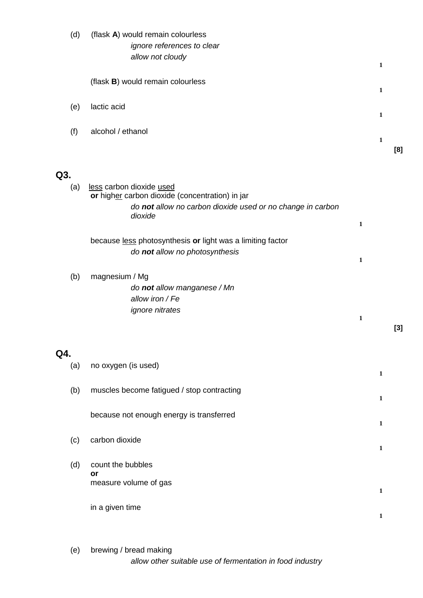|     | (d) | (flask A) would remain colourless                                                            |              |              |       |
|-----|-----|----------------------------------------------------------------------------------------------|--------------|--------------|-------|
|     |     | ignore references to clear                                                                   |              |              |       |
|     |     | allow not cloudy                                                                             |              | 1            |       |
|     |     | (flask B) would remain colourless                                                            |              |              |       |
|     |     |                                                                                              |              | $\mathbf{1}$ |       |
|     | (e) | lactic acid                                                                                  |              | $\mathbf{1}$ |       |
|     | (f) | alcohol / ethanol                                                                            |              |              |       |
|     |     |                                                                                              |              | $\mathbf{1}$ | [8]   |
|     |     |                                                                                              |              |              |       |
| Q3. |     |                                                                                              |              |              |       |
|     | (a) | less carbon dioxide used<br>or higher carbon dioxide (concentration) in jar                  |              |              |       |
|     |     | do not allow no carbon dioxide used or no change in carbon                                   |              |              |       |
|     |     | dioxide                                                                                      | $\mathbf{1}$ |              |       |
|     |     |                                                                                              |              |              |       |
|     |     | because less photosynthesis or light was a limiting factor<br>do not allow no photosynthesis |              |              |       |
|     |     |                                                                                              | $\mathbf 1$  |              |       |
|     | (b) | magnesium / Mg                                                                               |              |              |       |
|     |     | do not allow manganese / Mn                                                                  |              |              |       |
|     |     | allow iron / Fe                                                                              |              |              |       |
|     |     | <i>ignore nitrates</i>                                                                       | 1            |              |       |
|     |     |                                                                                              |              |              | $[3]$ |
|     |     |                                                                                              |              |              |       |
| Q4. |     |                                                                                              |              |              |       |
|     | (a) | no oxygen (is used)                                                                          |              | $\mathbf{1}$ |       |
|     |     |                                                                                              |              |              |       |
|     | (b) | muscles become fatigued / stop contracting                                                   |              | 1            |       |
|     |     | because not enough energy is transferred                                                     |              |              |       |
|     |     |                                                                                              |              | $\mathbf{1}$ |       |
|     | (c) | carbon dioxide                                                                               |              |              |       |
|     |     |                                                                                              |              | $\mathbf{1}$ |       |
|     | (d) | count the bubbles                                                                            |              |              |       |
|     |     | or<br>measure volume of gas                                                                  |              |              |       |
|     |     |                                                                                              |              | 1            |       |
|     |     | in a given time                                                                              |              |              |       |
|     |     |                                                                                              |              | $\mathbf 1$  |       |
|     |     |                                                                                              |              |              |       |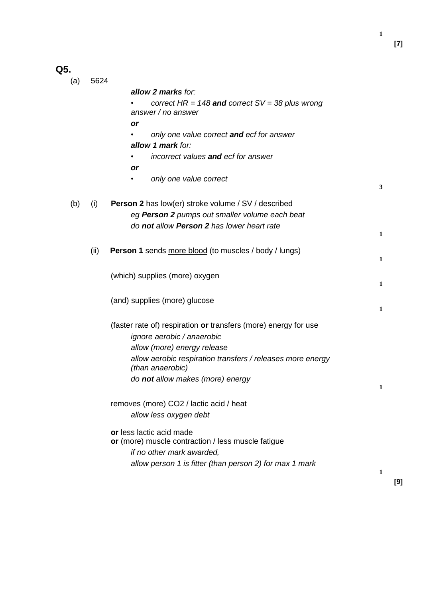**[7]**

**1**

# **Q5.**

| (a) | 5624 |                                                                                           |              |
|-----|------|-------------------------------------------------------------------------------------------|--------------|
|     |      | allow 2 marks for:                                                                        |              |
|     |      | correct $HR = 148$ and correct $SV = 38$ plus wrong<br>answer / no answer                 |              |
|     |      | or                                                                                        |              |
|     |      | only one value correct and ecf for answer                                                 |              |
|     |      | allow 1 mark for:                                                                         |              |
|     |      | incorrect values and ecf for answer                                                       |              |
|     |      | or                                                                                        |              |
|     |      | only one value correct                                                                    |              |
|     |      |                                                                                           | 3            |
| (b) | (i)  | <b>Person 2</b> has low(er) stroke volume / SV / described                                |              |
|     |      | eg Person 2 pumps out smaller volume each beat                                            |              |
|     |      | do not allow Person 2 has lower heart rate                                                |              |
|     |      |                                                                                           | $\mathbf{1}$ |
|     | (ii) | <b>Person 1</b> sends more blood (to muscles / body / lungs)                              |              |
|     |      |                                                                                           | $\mathbf{1}$ |
|     |      | (which) supplies (more) oxygen                                                            |              |
|     |      |                                                                                           | 1            |
|     |      | (and) supplies (more) glucose                                                             |              |
|     |      |                                                                                           | $\mathbf{1}$ |
|     |      |                                                                                           |              |
|     |      | (faster rate of) respiration or transfers (more) energy for use                           |              |
|     |      | ignore aerobic / anaerobic                                                                |              |
|     |      | allow (more) energy release<br>allow aerobic respiration transfers / releases more energy |              |
|     |      | (than anaerobic)                                                                          |              |
|     |      | do not allow makes (more) energy                                                          |              |
|     |      |                                                                                           | 1            |
|     |      | removes (more) CO2 / lactic acid / heat                                                   |              |
|     |      | allow less oxygen debt                                                                    |              |
|     |      |                                                                                           |              |
|     |      | or less lactic acid made                                                                  |              |
|     |      | or (more) muscle contraction / less muscle fatigue                                        |              |
|     |      | if no other mark awarded,                                                                 |              |
|     |      | allow person 1 is fitter (than person 2) for max 1 mark                                   | 1            |
|     |      |                                                                                           |              |

**[9]**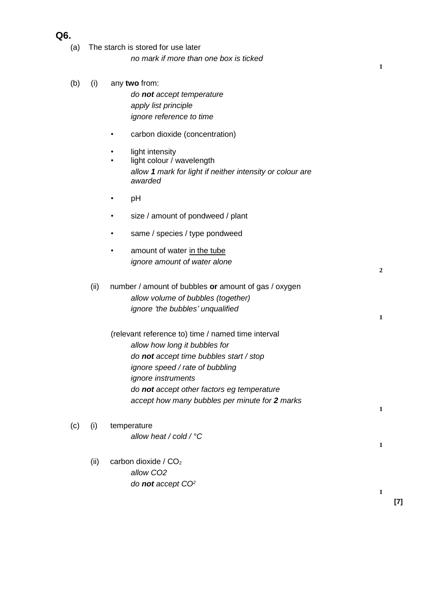## **Q6.**

- (a) The starch is stored for use later *no mark if more than one box is ticked*
- (b) (i) any **two** from:

*do not accept temperature apply list principle ignore reference to time*

- carbon dioxide (concentration)
- light intensity
- light colour / wavelength *allow 1 mark for light if neither intensity or colour are awarded*
- pH
- size / amount of pondweed / plant
- same / species / type pondweed
- amount of water in the tube *ignore amount of water alone*
- (ii) number / amount of bubbles **or** amount of gas / oxygen *allow volume of bubbles (together) ignore 'the bubbles' unqualified*
	- (relevant reference to) time / named time interval *allow how long it bubbles for do not accept time bubbles start / stop ignore speed / rate of bubbling ignore instruments do not accept other factors eg temperature accept how many bubbles per minute for 2 marks*
- (c) (i) temperature *allow heat / cold / °C* **1**
	- (ii) carbon dioxide /  $CO<sub>2</sub>$ *allow CO2 do not accept CO<sup>2</sup>*

**1**

**2**

**1**

**1**

**1**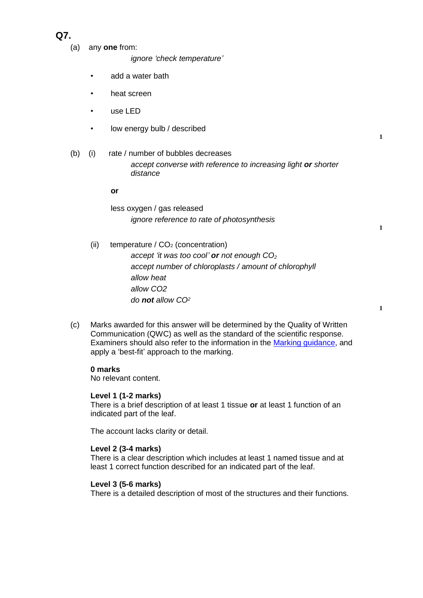# **Q7.**

(a) any **one** from:

*ignore 'check temperature'*

- add a water bath
- heat screen
- use LED
- low energy bulb / described
- (b) (i) rate / number of bubbles decreases *accept converse with reference to increasing light or shorter distance*

#### **or**

less oxygen / gas released *ignore reference to rate of photosynthesis*

- (ii) temperature /  $CO<sub>2</sub>$  (concentration) *accept 'it was too cool' or not enough CO<sup>2</sup> accept number of chloroplasts / amount of chlorophyll allow heat allow CO2 do not allow CO<sup>2</sup>*
- (c) Marks awarded for this answer will be determined by the Quality of Written Communication (QWC) as well as the standard of the scientific response. Examiners should also refer to the information in the [Marking guidance,](../resources/AG_BL/menus/Markingguidance.pdf) and apply a 'best-fit' approach to the marking.

#### **0 marks**

No relevant content.

#### **Level 1 (1-2 marks)**

There is a brief description of at least 1 tissue **or** at least 1 function of an indicated part of the leaf.

The account lacks clarity or detail.

#### **Level 2 (3-4 marks)**

There is a clear description which includes at least 1 named tissue and at least 1 correct function described for an indicated part of the leaf.

#### **Level 3 (5-6 marks)**

There is a detailed description of most of the structures and their functions.

**1**

**1**

**1**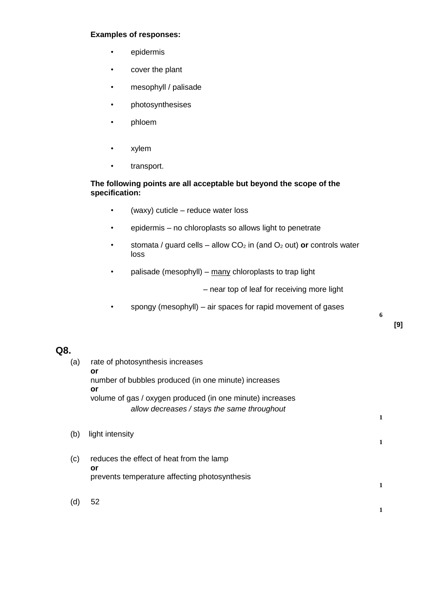## **Examples of responses:**

- epidermis
- cover the plant
- mesophyll / palisade
- photosynthesises
- phloem
- xylem
- transport.

### **The following points are all acceptable but beyond the scope of the specification:**

- (waxy) cuticle reduce water loss
- epidermis no chloroplasts so allows light to penetrate
- stomata / guard cells allow  $CO<sub>2</sub>$  in (and  $O<sub>2</sub>$  out) **or** controls water loss
- palisade (mesophyll) many chloroplasts to trap light

– near top of leaf for receiving more light

• spongy (mesophyll) – air spaces for rapid movement of gases

**6**

**1**

## **Q8.**

| (a) | rate of photosynthesis increases                                 |   |
|-----|------------------------------------------------------------------|---|
|     | or<br>number of bubbles produced (in one minute) increases<br>or |   |
|     | volume of gas / oxygen produced (in one minute) increases        |   |
|     | allow decreases / stays the same throughout                      |   |
|     |                                                                  | 1 |
| (b) | light intensity                                                  | 1 |
| (c) | reduces the effect of heat from the lamp<br>or                   |   |
|     | prevents temperature affecting photosynthesis                    |   |
| (d) | 52                                                               |   |